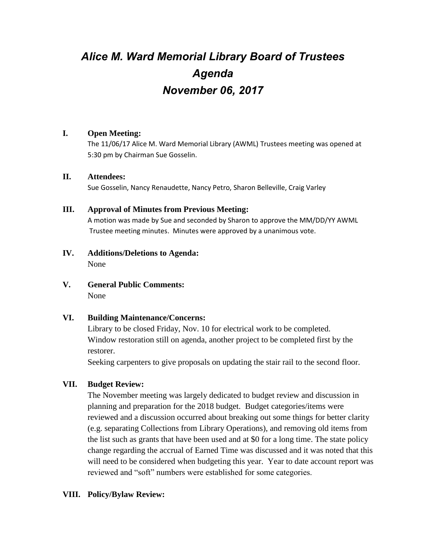# *Alice M. Ward Memorial Library Board of Trustees Agenda November 06, 2017*

# **I. Open Meeting:**

The 11/06/17 Alice M. Ward Memorial Library (AWML) Trustees meeting was opened at 5:30 pm by Chairman Sue Gosselin.

## **II. Attendees:**

Sue Gosselin, Nancy Renaudette, Nancy Petro, Sharon Belleville, Craig Varley

# **III. Approval of Minutes from Previous Meeting:**

A motion was made by Sue and seconded by Sharon to approve the MM/DD/YY AWML Trustee meeting minutes. Minutes were approved by a unanimous vote.

- **IV. Additions/Deletions to Agenda:** None
- **V. General Public Comments:** None

# **VI. Building Maintenance/Concerns:**

Library to be closed Friday, Nov. 10 for electrical work to be completed. Window restoration still on agenda, another project to be completed first by the restorer.

Seeking carpenters to give proposals on updating the stair rail to the second floor.

# **VII. Budget Review:**

The November meeting was largely dedicated to budget review and discussion in planning and preparation for the 2018 budget. Budget categories/items were reviewed and a discussion occurred about breaking out some things for better clarity (e.g. separating Collections from Library Operations), and removing old items from the list such as grants that have been used and at \$0 for a long time. The state policy change regarding the accrual of Earned Time was discussed and it was noted that this will need to be considered when budgeting this year. Year to date account report was reviewed and "soft" numbers were established for some categories.

# **VIII. Policy/Bylaw Review:**